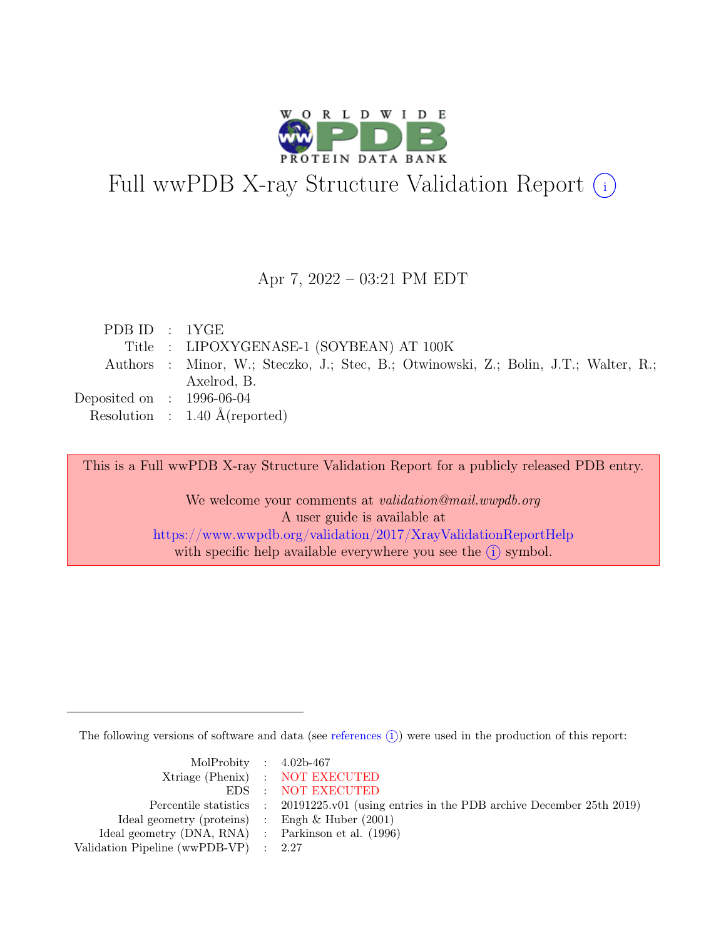

# Full wwPDB X-ray Structure Validation Report  $(i)$

### Apr 7, 2022 – 03:21 PM EDT

| PDBID : 1YGE                |                                                                                      |
|-----------------------------|--------------------------------------------------------------------------------------|
|                             | Title : LIPOXYGENASE-1 (SOYBEAN) AT 100K                                             |
|                             | Authors : Minor, W.; Steczko, J.; Stec, B.; Otwinowski, Z.; Bolin, J.T.; Walter, R.; |
|                             | Axelrod, B.                                                                          |
| Deposited on : $1996-06-04$ |                                                                                      |
|                             | Resolution : $1.40 \text{ Å}$ (reported)                                             |

This is a Full wwPDB X-ray Structure Validation Report for a publicly released PDB entry.

We welcome your comments at *validation@mail.wwpdb.org* A user guide is available at <https://www.wwpdb.org/validation/2017/XrayValidationReportHelp> with specific help available everywhere you see the  $(i)$  symbol.

The following versions of software and data (see [references](https://www.wwpdb.org/validation/2017/XrayValidationReportHelp#references)  $(i)$ ) were used in the production of this report:

| MolProbity : $4.02b-467$                            |                                                                                            |
|-----------------------------------------------------|--------------------------------------------------------------------------------------------|
|                                                     | Xtriage (Phenix) : NOT EXECUTED                                                            |
|                                                     | EDS : NOT EXECUTED                                                                         |
|                                                     | Percentile statistics : 20191225.v01 (using entries in the PDB archive December 25th 2019) |
| Ideal geometry (proteins) : Engh $\&$ Huber (2001)  |                                                                                            |
| Ideal geometry (DNA, RNA) : Parkinson et al. (1996) |                                                                                            |
| Validation Pipeline (wwPDB-VP) : $2.27$             |                                                                                            |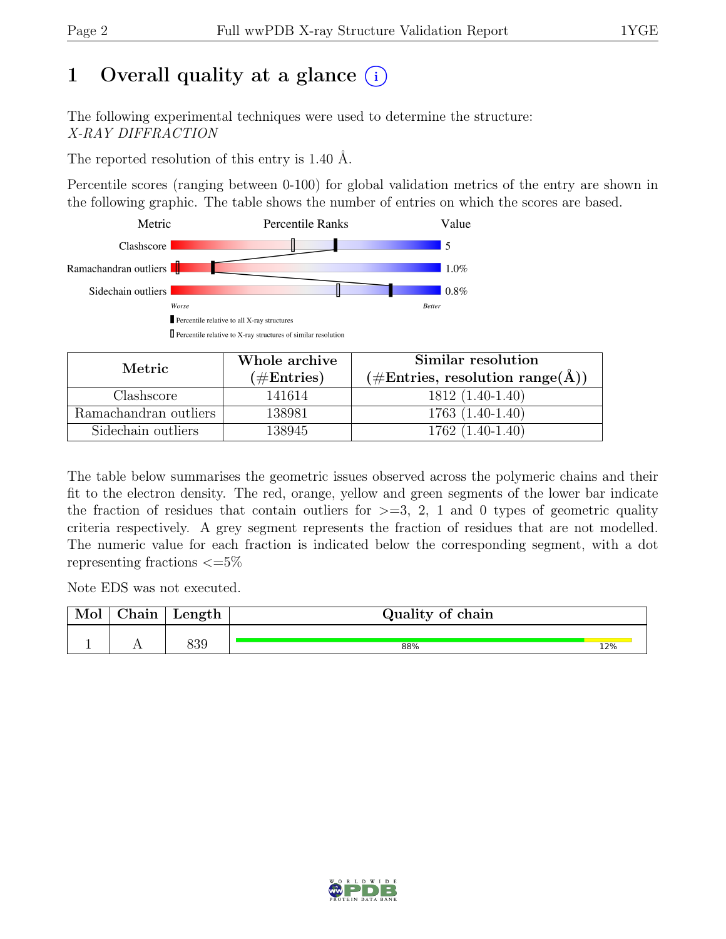# 1 Overall quality at a glance  $(i)$

The following experimental techniques were used to determine the structure: X-RAY DIFFRACTION

The reported resolution of this entry is 1.40 Å.

Percentile scores (ranging between 0-100) for global validation metrics of the entry are shown in the following graphic. The table shows the number of entries on which the scores are based.



| Metric.               | Whole archive | Similar resolution                                                 |  |  |
|-----------------------|---------------|--------------------------------------------------------------------|--|--|
|                       | $(\#Entries)$ | $(\#\text{Entries}, \text{ resolution range}(\text{\AA})^{\circ})$ |  |  |
| Clashscore            | 141614        | $1812(1.40-1.40)$                                                  |  |  |
| Ramachandran outliers | 138981        | $1763(1.40-1.40)$                                                  |  |  |
| Sidechain outliers    | 138945        | $1762(1.40-1.40)$                                                  |  |  |

The table below summarises the geometric issues observed across the polymeric chains and their fit to the electron density. The red, orange, yellow and green segments of the lower bar indicate the fraction of residues that contain outliers for  $\geq$ =3, 2, 1 and 0 types of geometric quality criteria respectively. A grey segment represents the fraction of residues that are not modelled. The numeric value for each fraction is indicated below the corresponding segment, with a dot representing fractions  $\epsilon = 5\%$ 

Note EDS was not executed.

| $\sim$ 1<br>hain | Length | Quality of chain |     |
|------------------|--------|------------------|-----|
|                  |        |                  |     |
| . .              | 839    | 88%              | 12% |

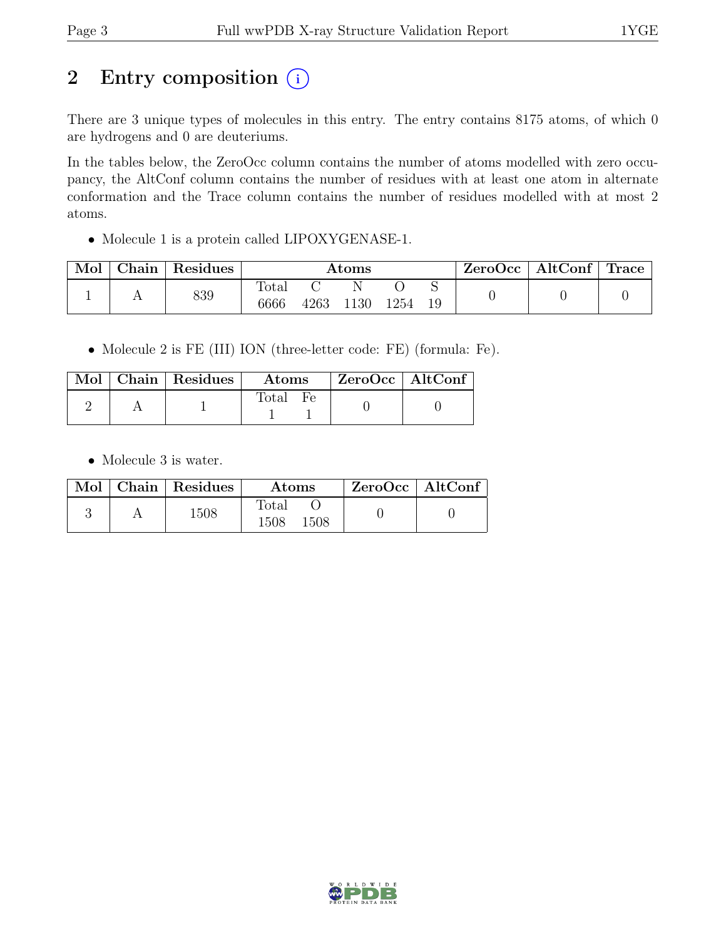# 2 Entry composition  $(i)$

There are 3 unique types of molecules in this entry. The entry contains 8175 atoms, of which 0 are hydrogens and 0 are deuteriums.

In the tables below, the ZeroOcc column contains the number of atoms modelled with zero occupancy, the AltConf column contains the number of residues with at least one atom in alternate conformation and the Trace column contains the number of residues modelled with at most 2 atoms.

• Molecule 1 is a protein called LIPOXYGENASE-1.

| Mol | ${\rm Chain \mid}$ | Residues | $\rm{Atoms}$  |      |      |      | ZeroOcc | $\vert$ AltConf $\vert$ Trace $\vert$ |  |  |
|-----|--------------------|----------|---------------|------|------|------|---------|---------------------------------------|--|--|
|     |                    | 839      | Total<br>6666 | 4263 | 1130 | 1254 | 19      |                                       |  |  |

• Molecule 2 is FE (III) ION (three-letter code: FE) (formula: Fe).

|  | $\boxed{\text{Mol}}$ Chain   Residues | $\rm~Atons$ | ZeroOcc   AltConf |  |
|--|---------------------------------------|-------------|-------------------|--|
|  |                                       | Total Fe    |                   |  |

• Molecule 3 is water.

|  | Mol   Chain   Residues | Atoms                              | $ZeroOcc$   AltConf |
|--|------------------------|------------------------------------|---------------------|
|  | 1508                   | $\text{Total}$<br>$1508\,$<br>1508 |                     |

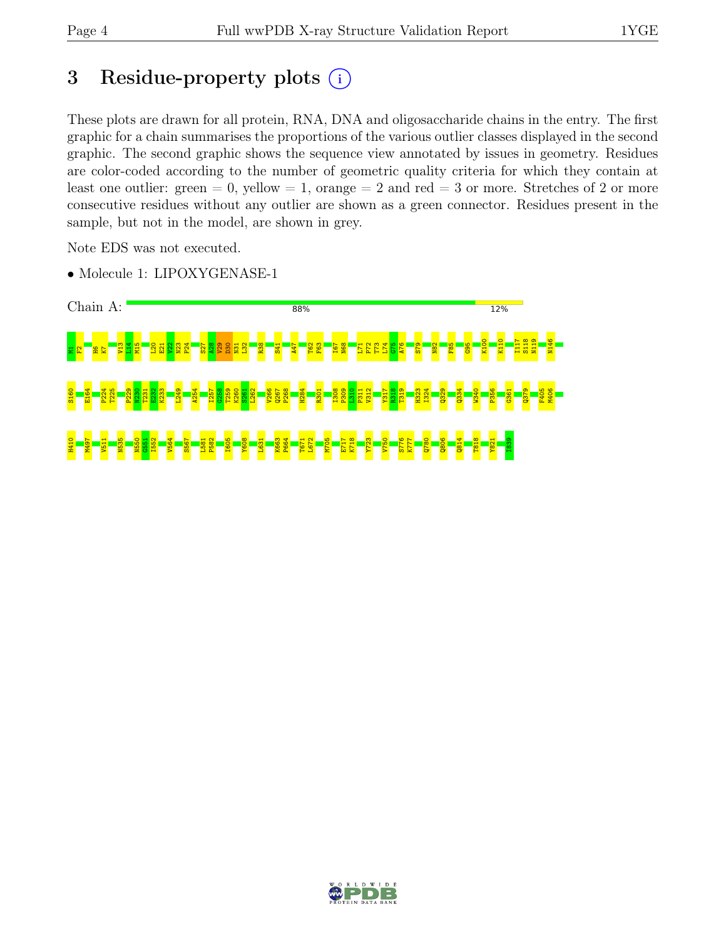# 3 Residue-property plots  $(i)$

These plots are drawn for all protein, RNA, DNA and oligosaccharide chains in the entry. The first graphic for a chain summarises the proportions of the various outlier classes displayed in the second graphic. The second graphic shows the sequence view annotated by issues in geometry. Residues are color-coded according to the number of geometric quality criteria for which they contain at least one outlier: green  $= 0$ , yellow  $= 1$ , orange  $= 2$  and red  $= 3$  or more. Stretches of 2 or more consecutive residues without any outlier are shown as a green connector. Residues present in the sample, but not in the model, are shown in grey.

Note EDS was not executed.

• Molecule 1: LIPOXYGENASE-1



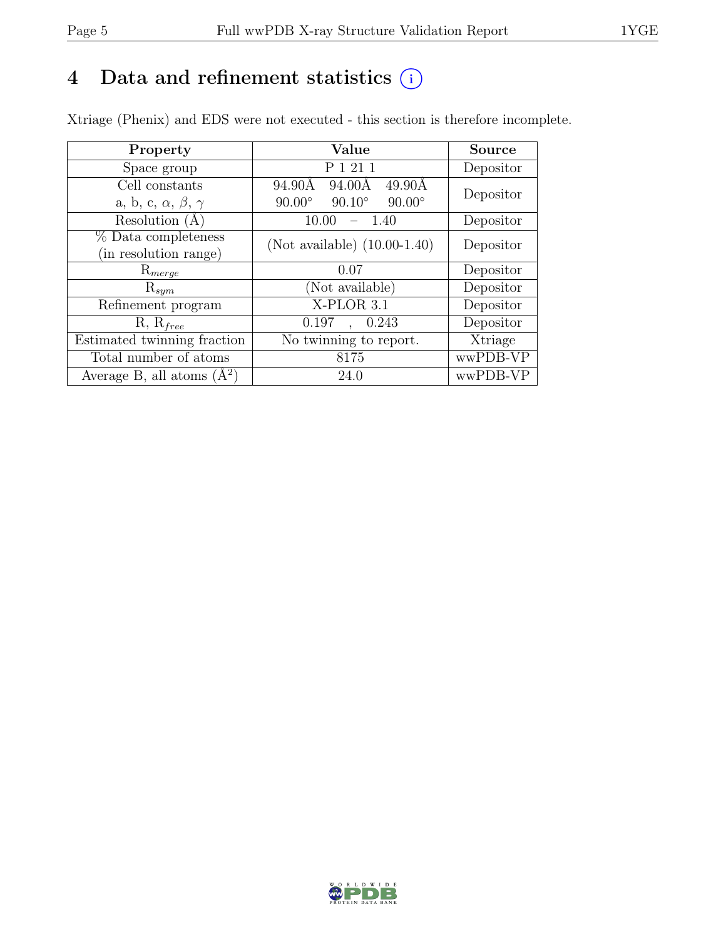# 4 Data and refinement statistics  $(i)$

Xtriage (Phenix) and EDS were not executed - this section is therefore incomplete.

| Property                               | Value                                             | <b>Source</b> |  |
|----------------------------------------|---------------------------------------------------|---------------|--|
| Space group                            | P 1 21 1                                          | Depositor     |  |
| Cell constants                         | 94.90Å<br>94.00Å<br>$49.90\text{\AA}$             | Depositor     |  |
| a, b, c, $\alpha$ , $\beta$ , $\gamma$ | $90.00^\circ$<br>$90.10^{\circ}$<br>$90.00^\circ$ |               |  |
| Resolution $(A)$                       | 1.40<br>10.00                                     | Depositor     |  |
| $%$ Data completeness                  | (Not available) $(10.00-1.40)$                    | Depositor     |  |
| (in resolution range)                  |                                                   |               |  |
| $\mathrm{R}_{merge}$                   | 0.07                                              | Depositor     |  |
| $\mathrm{R}_{sym}$                     | (Not available)                                   | Depositor     |  |
| Refinement program                     | X-PLOR 3.1                                        | Depositor     |  |
| $R, R_{free}$                          | 0.197<br>0.243<br>$\ddot{\phantom{0}}$            | Depositor     |  |
| Estimated twinning fraction            | No twinning to report.                            | Xtriage       |  |
| Total number of atoms                  | 8175                                              | wwPDB-VP      |  |
| Average B, all atoms $(A^2)$           | 24.0                                              | wwPDB-VP      |  |

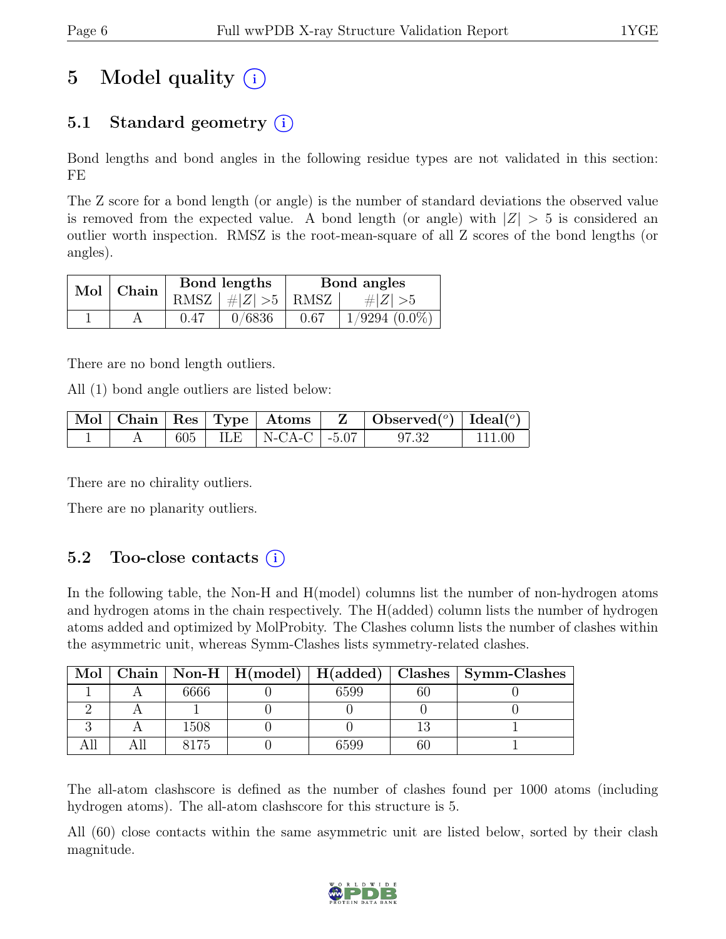# 5 Model quality  $(i)$

# 5.1 Standard geometry  $(i)$

Bond lengths and bond angles in the following residue types are not validated in this section: FE

The Z score for a bond length (or angle) is the number of standard deviations the observed value is removed from the expected value. A bond length (or angle) with  $|Z| > 5$  is considered an outlier worth inspection. RMSZ is the root-mean-square of all Z scores of the bond lengths (or angles).

| $Mol$   Chain |      | Bond lengths                       | Bond angles |                    |  |
|---------------|------|------------------------------------|-------------|--------------------|--|
|               |      | RMSZ $\mid \#  Z  > 5$ RMSZ $\mid$ |             | # $ Z  > 5$        |  |
|               | 0.47 | 0/6836                             | 0.67        | $1/9294$ $(0.0\%)$ |  |

There are no bond length outliers.

All (1) bond angle outliers are listed below:

|  |  |                            | $\mid$ Mol $\mid$ Chain $\mid$ Res $\mid$ Type $\mid$ Atoms $\mid$ Z $\mid$ Observed( <sup>o</sup> ) $\mid$ Ideal( <sup>o</sup> ) |         |
|--|--|----------------------------|-----------------------------------------------------------------------------------------------------------------------------------|---------|
|  |  | 605   ILE   N-CA-C   -5.07 | 97.32                                                                                                                             | -111.00 |

There are no chirality outliers.

There are no planarity outliers.

# 5.2 Too-close contacts  $(i)$

In the following table, the Non-H and H(model) columns list the number of non-hydrogen atoms and hydrogen atoms in the chain respectively. The H(added) column lists the number of hydrogen atoms added and optimized by MolProbity. The Clashes column lists the number of clashes within the asymmetric unit, whereas Symm-Clashes lists symmetry-related clashes.

| Mol |      |      | Chain   Non-H   $H(model)$   $H(added)$   Clashes   Symm-Clashes |
|-----|------|------|------------------------------------------------------------------|
|     | 6666 | 6599 |                                                                  |
|     |      |      |                                                                  |
|     | 1508 |      |                                                                  |
|     |      | 6599 |                                                                  |

The all-atom clashscore is defined as the number of clashes found per 1000 atoms (including hydrogen atoms). The all-atom clashscore for this structure is 5.

All (60) close contacts within the same asymmetric unit are listed below, sorted by their clash magnitude.

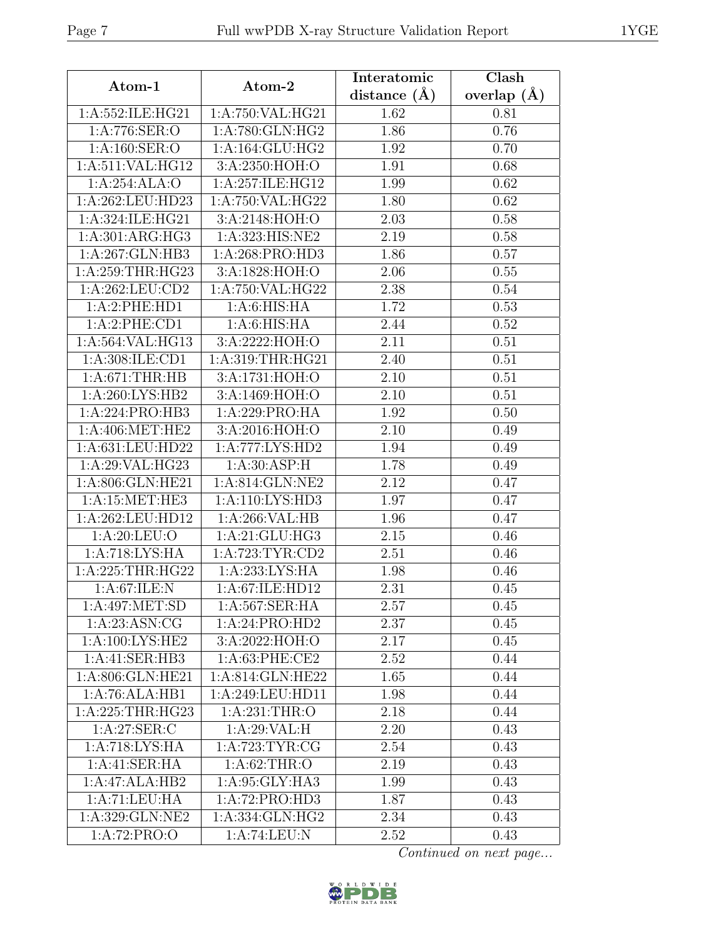| Atom-1             | Atom-2                      | Interatomic    | Clash                  |
|--------------------|-----------------------------|----------------|------------------------|
|                    |                             | distance $(A)$ | overlap $(A)$          |
| 1:A:552:ILE:HG21   | 1:A:750:VAL:HG21            | 1.62           | 0.81                   |
| 1:A:776:SER:O      | 1:A:780:GLN:HG2             | 1.86           | 0.76                   |
| 1:A:160:SER:O      | 1:A:164:GLU:HG2             | 1.92           | 0.70                   |
| 1:A:511:VAL:HG12   | 3:A:2350:HOH:O              | 1.91           | 0.68                   |
| 1:A:254:ALA:O      | 1:A:257:ILE:HG12            | 1.99           | 0.62                   |
| 1:A:262:LEU:HD23   | 1:A:750:VAL:HG22            | 1.80           | 0.62                   |
| 1:A:324:ILE:HG21   | 3:A:2148:HOH:O              | 2.03           | 0.58                   |
| 1:A:301:ARG:HG3    | 1:A:323:HIS:NE2             | 2.19           | 0.58                   |
| 1:A:267:GLN:HB3    | 1: A:268: PRO:HD3           | 1.86           | 0.57                   |
| 1:A:259:THR:HG23   | 3:A:1828:HOH:O              | 2.06           | 0.55                   |
| 1: A:262:LEU:CD2   | 1:A:750:VAL:HG22            | 2.38           | 0.54                   |
| 1:A:2:PHE:HD1      | 1: A:6: HIS: HA             | 1.72           | 0.53                   |
| 1:A:2:PHE:CD1      | 1: A:6: HIS: HA             | 2.44           | 0.52                   |
| 1:A:564:VAL:HG13   | 3:A:2222:HOH:O              | 2.11           | 0.51                   |
| 1: A:308: ILE: CD1 | 1:A:319:THR:HG21            | 2.40           | 0.51                   |
| 1: A:671:THR:HB    | 3:A:1731:HOH:O              | 2.10           | 0.51                   |
| 1:A:260:LYS:HB2    | 3:A:1469:HOH:O              | 2.10           | 0.51                   |
| 1:A:224:PRO:HB3    | 1:A:229:PRO:HA              | 1.92           | 0.50                   |
| 1: A:406: MET:HE2  | 3:A:2016:HOH:O              | 2.10           | 0.49                   |
| 1:A:631:LEU:HD22   | 1:A:777:LYS:HD2             | 1.94           | 0.49                   |
| 1:A:29:VAL:HG23    | 1: A:30: ASP:H              | 1.78           | 0.49                   |
| 1:A:806:GLN:HE21   | 1:A:814:GLN:NE2             | 2.12           | 0.47                   |
| 1:A:15:MET:HE3     | 1:A:110:LYS:HD3             | 1.97           | 0.47                   |
| 1:A:262:LEU:HD12   | 1:A:266:VAL:HB              | 1.96           | 0.47                   |
| 1:A:20:LEU:O       | 1:A:21:GLU:HG3              | 2.15           | 0.46                   |
| 1:A:718:LYS:HA     | $1:$ A:723:TYR:CD2          | 2.51           | 0.46                   |
| 1:A:225:THR:HG22   | 1:A:233:LYS:HA              | 1.98           | 0.46                   |
| 1: A:67: ILE:N     | 1:A:67:ILE:HD12             | 2.31           | 0.45                   |
| 1:A:497:MET:SD     | 1:A:567:SER:HA              | 2.57           | 0.45                   |
| 1: A:23: ASN: CG   | $1:A:24:PRO:H\overline{D2}$ | 2.37           | 0.45                   |
| 1:A:100:LYS:HE2    | 3:A:2022:HOH:O              | 2.17           | 0.45                   |
| 1:A:41:SER:HB3     | 1:A:63:PHE:CE2              | 2.52           | 0.44                   |
| 1:A:806:GLN:HE21   | 1:A:814:GLN:HE22            | 1.65           | 0.44                   |
| 1:A:76:ALA:HB1     | 1:A:249:LEU:HD11            | 1.98           | 0.44                   |
| 1: A:225:THR:HG23  | 1:A:231:THR:O               | 2.18           | 0.44                   |
| 1: A:27: SER:C     | 1:A:29:VAL:HI               | 2.20           | 0.43                   |
| 1:A:718:LYS:HA     | 1: A:723: TYR: CG           | 2.54           | 0.43                   |
| 1:A:41:SER:HA      | 1: A:62:THR:O               | 2.19           | 0.43                   |
| 1:A:47:ALA:HB2     | 1:A:95:GLY:HA3              | 1.99           | 0.43                   |
| 1: A:71:LEU:HA     | 1:A:72:PRO:HD3              | 1.87           | 0.43                   |
| 1:A:329:GLN:NE2    | 1:A:334:GLN:HG2             | 2.34           | 0.43                   |
| 1:A:72:PRO:O       | 1:A:74:LEU:N                | 2.52           | 0.43                   |
|                    |                             |                | Continued on next page |

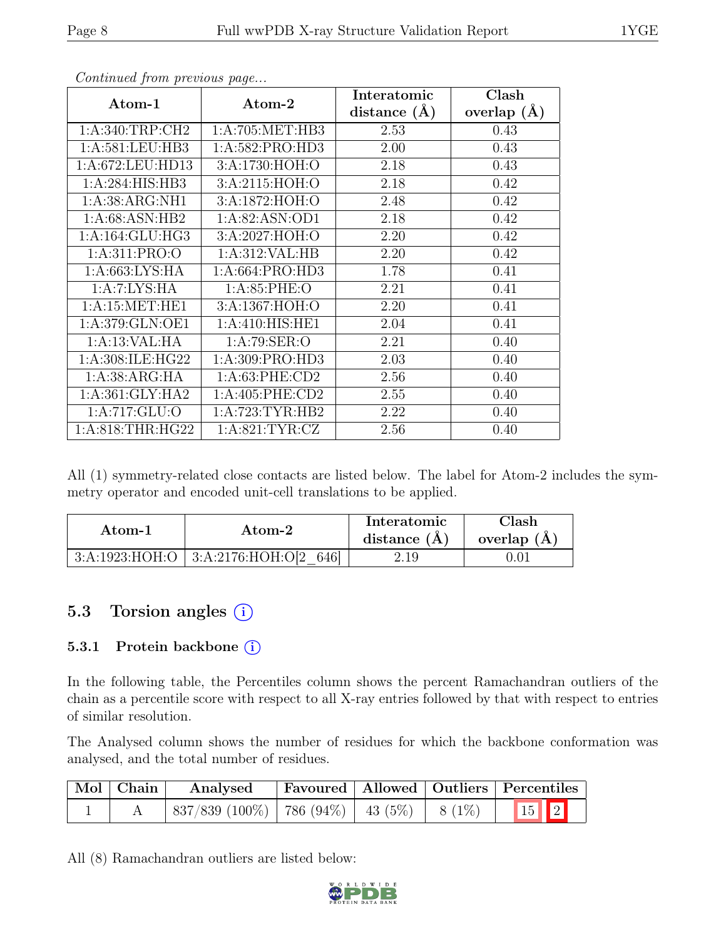| Atom-1             | Atom-2             | Interatomic    | Clash           |
|--------------------|--------------------|----------------|-----------------|
|                    |                    | distance $(A)$ | overlap $(\AA)$ |
| 1: A:340:TRP:CH2   | 1: A:705: MET:HB3  | 2.53           | 0.43            |
| 1:A:581:LEU:HB3    | 1:A:582:PRO:HD3    | 2.00           | 0.43            |
| 1:A:672:LEU:HD13   | 3:A:1730:HOH:O     | 2.18           | 0.43            |
| 1:A:284:HIS:HB3    | 3:A:2115:HOH:O     | 2.18           | 0.42            |
| 1:A:38:ARG:NH1     | 3:A:1872:HOH:O     | 2.48           | 0.42            |
| 1:A:68:ASN:HB2     | 1:A:82:ASN:OD1     | 2.18           | 0.42            |
| 1: A:164: GLU: HG3 | 3:A:2027:HOH:O     | 2.20           | 0.42            |
| 1: A:311: PRO:O    | 1:A:312:VAL:HB     | 2.20           | 0.42            |
| 1: A:663: LYS: HA  | 1:A:664:PRO:HD3    | 1.78           | 0.41            |
| 1:A:7:LYS:HA       | 1: A:85:PHE:O      | 2.21           | 0.41            |
| 1: A:15: MET:HE1   | 3:A:1367:HOH:O     | 2.20           | 0.41            |
| 1:A:379:GLN:OE1    | 1: A:410: HIS: HE1 | 2.04           | 0.41            |
| 1:A:13:VAL:HA      | 1: A:79: SER:O     | 2.21           | 0.40            |
| 1:A:308:ILE:HG22   | 1:A:309:PRO:HD3    | 2.03           | 0.40            |
| 1:A:38:ARG:HA      | 1:A:63:PHE:CD2     | 2.56           | 0.40            |
| 1: A:361: GLY:HA2  | 1: A:405: PHE:CD2  | 2.55           | 0.40            |
| 1: A:717: GLU:O    | 1: A:723: TYR: HB2 | 2.22           | 0.40            |
| 1: A:818:THR:HG22  | 1: A:821: TYR: CZ  | 2.56           | 0.40            |

Continued from previous page...

All (1) symmetry-related close contacts are listed below. The label for Atom-2 includes the symmetry operator and encoded unit-cell translations to be applied.

| Atom-1 | Atom-2                                     | Interatomic<br>distance $(A)$ | $\gamma$ lash<br>overlap $(A)$ |
|--------|--------------------------------------------|-------------------------------|--------------------------------|
|        | $3:A:1923:HOH:O$   $3:A:2176:HOH:O[2 646]$ | 2.19                          |                                |

# 5.3 Torsion angles (i)

#### 5.3.1 Protein backbone (i)

In the following table, the Percentiles column shows the percent Ramachandran outliers of the chain as a percentile score with respect to all X-ray entries followed by that with respect to entries of similar resolution.

The Analysed column shows the number of residues for which the backbone conformation was analysed, and the total number of residues.

| Mol   Chain | Analysed                                        |  | Favoured   Allowed   Outliers   Percentiles |
|-------------|-------------------------------------------------|--|---------------------------------------------|
|             | $837/839$ (100%)   786 (94%)   43 (5%)   8 (1%) |  | 15 2                                        |

All (8) Ramachandran outliers are listed below:

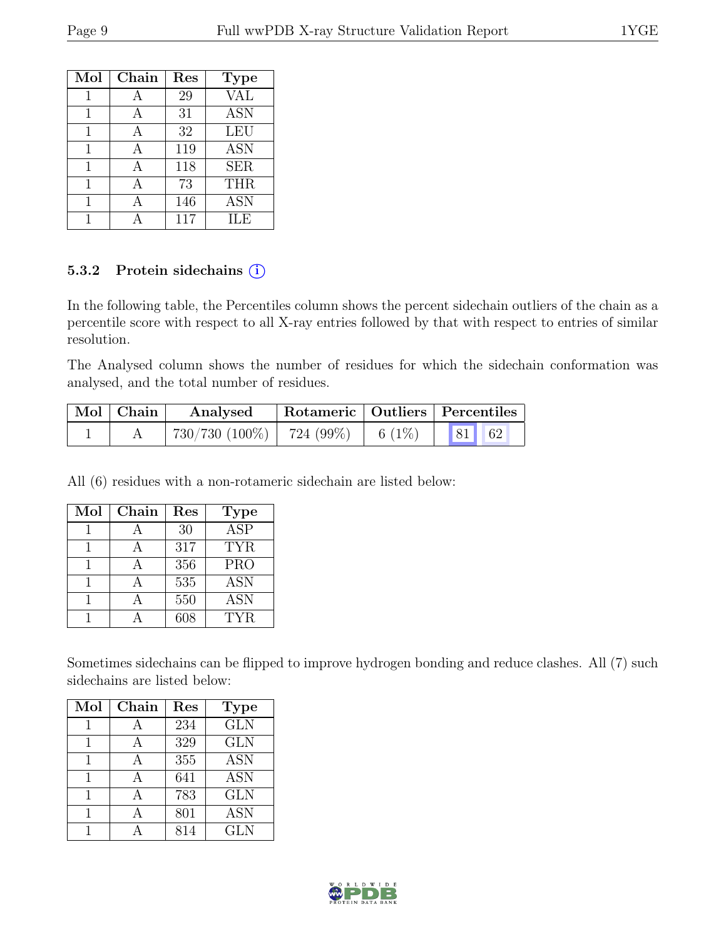| Mol | Chain | Res | <b>Type</b> |
|-----|-------|-----|-------------|
| 1   |       | 29  | <b>VAL</b>  |
| 1   | А     | 31  | <b>ASN</b>  |
| 1   | А     | 32  | LEU         |
| 1   | А     | 119 | <b>ASN</b>  |
| 1   | А     | 118 | <b>SER</b>  |
| 1   | А     | 73  | <b>THR</b>  |
| 1   | А     | 146 | <b>ASN</b>  |
|     |       | 117 | ILE.        |

#### 5.3.2 Protein sidechains (i)

In the following table, the Percentiles column shows the percent sidechain outliers of the chain as a percentile score with respect to all X-ray entries followed by that with respect to entries of similar resolution.

The Analysed column shows the number of residues for which the sidechain conformation was analysed, and the total number of residues.

| $\mid$ Mol $\mid$ Chain | Analysed                             |           | Rotameric   Outliers   Percentiles |
|-------------------------|--------------------------------------|-----------|------------------------------------|
|                         | $730/730$ $(100\%)$   $724$ $(99\%)$ | 6 $(1\%)$ | 81 62                              |

All (6) residues with a non-rotameric sidechain are listed below:

| Mol | Chain | Res | <b>Type</b> |
|-----|-------|-----|-------------|
|     |       | 30  | <b>ASP</b>  |
|     |       | 317 | <b>TYR</b>  |
|     |       | 356 | <b>PRO</b>  |
|     |       | 535 | <b>ASN</b>  |
|     |       | 550 | <b>ASN</b>  |
|     |       | ናበጸ | TYR.        |

Sometimes sidechains can be flipped to improve hydrogen bonding and reduce clashes. All (7) such sidechains are listed below:

| Mol | Chain | Res | <b>Type</b> |
|-----|-------|-----|-------------|
|     | А     | 234 | <b>GLN</b>  |
|     |       | 329 | <b>GLN</b>  |
|     |       | 355 | <b>ASN</b>  |
| 1   | A     | 641 | <b>ASN</b>  |
|     |       | 783 | <b>GLN</b>  |
|     |       | 801 | <b>ASN</b>  |
|     |       | 814 | <b>GLN</b>  |

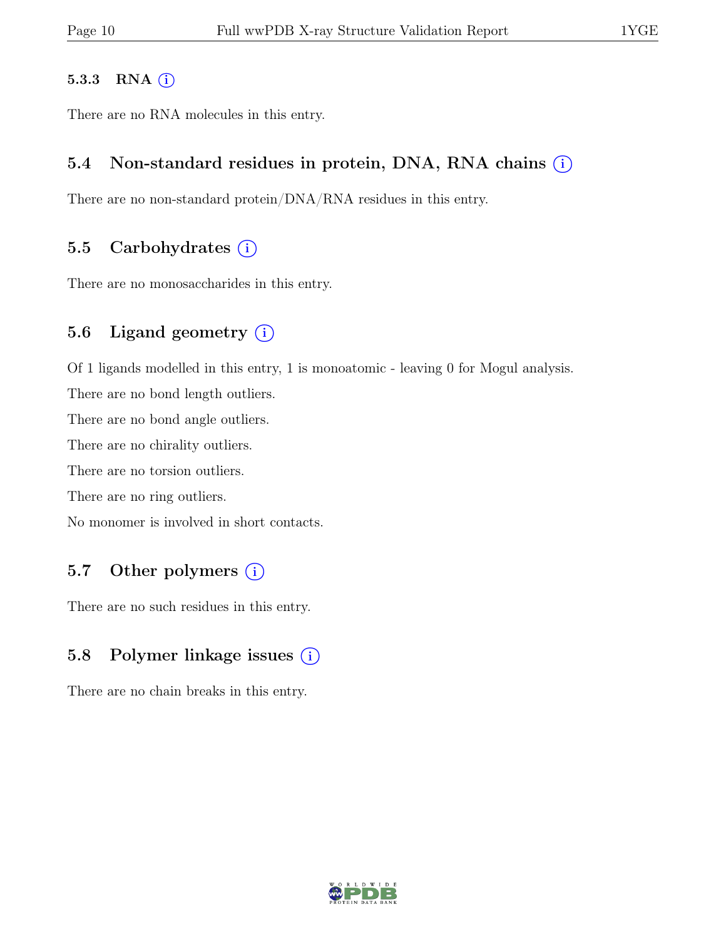#### 5.3.3 RNA  $(i)$

There are no RNA molecules in this entry.

### 5.4 Non-standard residues in protein, DNA, RNA chains  $(i)$

There are no non-standard protein/DNA/RNA residues in this entry.

### 5.5 Carbohydrates  $(i)$

There are no monosaccharides in this entry.

# 5.6 Ligand geometry  $(i)$

Of 1 ligands modelled in this entry, 1 is monoatomic - leaving 0 for Mogul analysis.

There are no bond length outliers.

There are no bond angle outliers.

There are no chirality outliers.

There are no torsion outliers.

There are no ring outliers.

No monomer is involved in short contacts.

# 5.7 Other polymers (i)

There are no such residues in this entry.

# 5.8 Polymer linkage issues  $(i)$

There are no chain breaks in this entry.